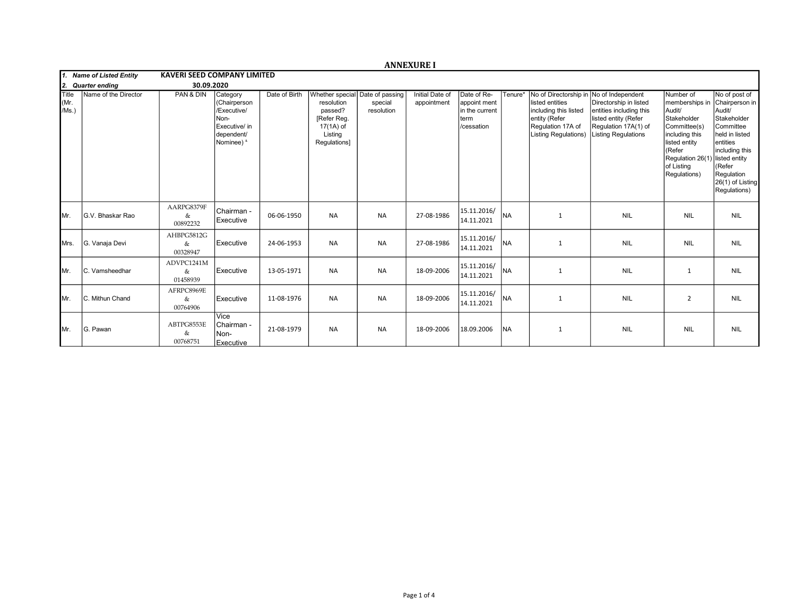|                              |                          |                                    |                                                                                              |               |                                                                              |                                                          | <b>ANNEXURE I</b>              |                                                                     |           |                                                                                                                                        |                                                                                                                                                      |                                                                                                                                                                                   |                                                                                                                                                                                    |
|------------------------------|--------------------------|------------------------------------|----------------------------------------------------------------------------------------------|---------------|------------------------------------------------------------------------------|----------------------------------------------------------|--------------------------------|---------------------------------------------------------------------|-----------|----------------------------------------------------------------------------------------------------------------------------------------|------------------------------------------------------------------------------------------------------------------------------------------------------|-----------------------------------------------------------------------------------------------------------------------------------------------------------------------------------|------------------------------------------------------------------------------------------------------------------------------------------------------------------------------------|
|                              | 1. Name of Listed Entity | <b>KAVERI SEED COMPANY LIMITED</b> |                                                                                              |               |                                                                              |                                                          |                                |                                                                     |           |                                                                                                                                        |                                                                                                                                                      |                                                                                                                                                                                   |                                                                                                                                                                                    |
| 12.                          | <b>Quarter ending</b>    | 30.09.2020                         |                                                                                              |               |                                                                              |                                                          |                                |                                                                     |           |                                                                                                                                        |                                                                                                                                                      |                                                                                                                                                                                   |                                                                                                                                                                                    |
| <b>Title</b><br>Mr.<br>/Ms.) | Name of the Director     | PAN & DIN                          | Category<br>(Chairperson<br>/Executive/<br>Non-<br>Executive/ in<br>dependent/<br>Nominee) & | Date of Birth | resolution<br>passed?<br>[Refer Reg.<br>17(1A) of<br>Listing<br>Regulations] | Whether special Date of passing<br>special<br>resolution | Initial Date of<br>appointment | Date of Re-<br>appoint ment<br>in the current<br>term<br>/cessation | Tenure*   | No of Directorship in<br>listed entities<br>including this listed<br>entity (Refer<br>Regulation 17A of<br><b>Listing Regulations)</b> | No of Independent<br>Directorship in listed<br>entities including this<br>listed entity (Refer<br>Regulation 17A(1) of<br><b>Listing Regulations</b> | Number of<br>memberships in<br>Audit/<br>Stakeholder<br>Committee(s)<br>including this<br>listed entity<br>(Refer<br>Regulation 26(1) listed entity<br>of Listing<br>Regulations) | No of post of<br>Chairperson in<br>Audit/<br>Stakeholder<br>Committee<br>held in listed<br>lentities<br>including this<br>KRefer<br>Regulation<br>26(1) of Listing<br>Regulations) |
| IMr.                         | G.V. Bhaskar Rao         | AARPG8379F<br>&<br>00892232        | Chairman -<br>Executive                                                                      | 06-06-1950    | <b>NA</b>                                                                    | <b>NA</b>                                                | 27-08-1986                     | 15.11.2016/<br>14.11.2021                                           | <b>NA</b> | 1                                                                                                                                      | <b>NIL</b>                                                                                                                                           | <b>NIL</b>                                                                                                                                                                        | <b>NIL</b>                                                                                                                                                                         |
| <b>I</b> Mrs.                | G. Vanaja Devi           | AHBPG5812G<br>&<br>00328947        | Executive                                                                                    | 24-06-1953    | <b>NA</b>                                                                    | <b>NA</b>                                                | 27-08-1986                     | 15.11.2016/<br>14.11.2021                                           | <b>NA</b> | $\mathbf{1}$                                                                                                                           | <b>NIL</b>                                                                                                                                           | <b>NIL</b>                                                                                                                                                                        | <b>NIL</b>                                                                                                                                                                         |
| IMr.                         | C. Vamsheedhar           | ADVPC1241M<br>&<br>01458939        | Executive                                                                                    | 13-05-1971    | <b>NA</b>                                                                    | <b>NA</b>                                                | 18-09-2006                     | 15.11.2016/<br>14.11.2021                                           | Ina       | 1                                                                                                                                      | <b>NIL</b>                                                                                                                                           | $\mathbf{1}$                                                                                                                                                                      | <b>NIL</b>                                                                                                                                                                         |
| IMr.                         | C. Mithun Chand          | AFRPC8969E<br>&<br>00764906        | Executive                                                                                    | 11-08-1976    | <b>NA</b>                                                                    | <b>NA</b>                                                | 18-09-2006                     | 15.11.2016/<br>14.11.2021                                           | Ina       | 1                                                                                                                                      | <b>NIL</b>                                                                                                                                           | $\overline{2}$                                                                                                                                                                    | <b>NIL</b>                                                                                                                                                                         |
| IMr.                         | G. Pawan                 | ABTPG8553E<br>&<br>00768751        | Vice<br>l Chairman -<br>Non-<br>Executive                                                    | 21-08-1979    | <b>NA</b>                                                                    | <b>NA</b>                                                | 18-09-2006                     | 18.09.2006                                                          | <b>NA</b> | $\mathbf{1}$                                                                                                                           | <b>NIL</b>                                                                                                                                           | <b>NIL</b>                                                                                                                                                                        | <b>NIL</b>                                                                                                                                                                         |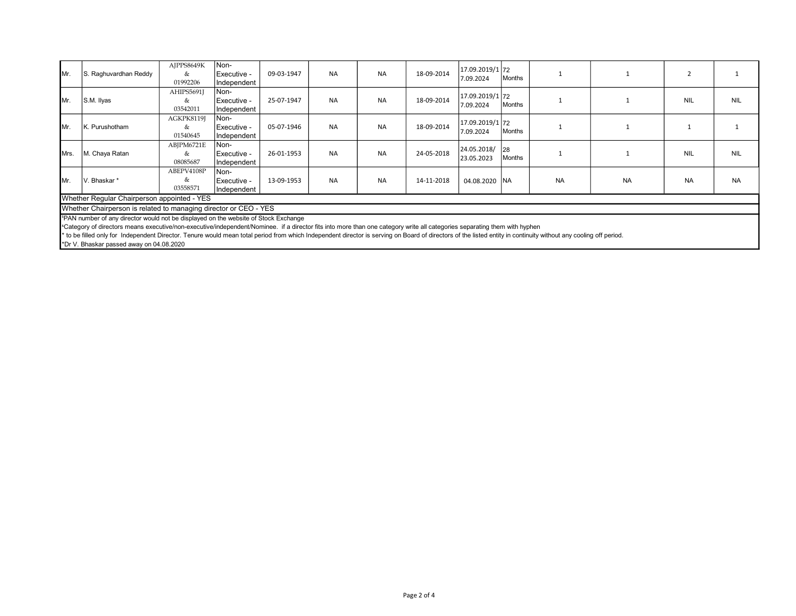| IMr.                                                             | S. Raghuvardhan Reddy                                                              | AJPPS8649K<br>&<br>01992206 | Non-<br>Executive -<br>Independent   | 09-03-1947 | <b>NA</b> | <b>NA</b> | 18-09-2014 | 17.09.2019/1 72<br>7.09.2024 | Months |           |           |            |            |
|------------------------------------------------------------------|------------------------------------------------------------------------------------|-----------------------------|--------------------------------------|------------|-----------|-----------|------------|------------------------------|--------|-----------|-----------|------------|------------|
| IMr.                                                             | S.M. Ilyas                                                                         | AHIPS5691J<br>&<br>03542011 | INon-<br> Executive -<br>Independent | 25-07-1947 | <b>NA</b> | <b>NA</b> | 18-09-2014 | 17.09.2019/1 72<br>7.09.2024 | Months |           |           | <b>NIL</b> | <b>NIL</b> |
| Mr.                                                              | K. Purushotham                                                                     | AGKPK8119J<br>&<br>01540645 | Non-<br>Executive -<br>Independent   | 05-07-1946 | <b>NA</b> | <b>NA</b> | 18-09-2014 | 17.09.2019/1 72<br>7.09.2024 | Months |           |           |            |            |
| IMrs.                                                            | M. Chaya Ratan                                                                     | ABJPM6721E<br>&<br>08085687 | INon-<br>Executive -<br>Independent  | 26-01-1953 | <b>NA</b> | <b>NA</b> | 24-05-2018 | 24.05.2018/ 28<br>23.05.2023 | Months |           |           | <b>NIL</b> | <b>NIL</b> |
| IMr.                                                             | V. Bhaskar*                                                                        | ABEPV4108P<br>&<br>03558571 | Non-<br>Executive -<br>Independent   | 13-09-1953 | <b>NA</b> | <b>NA</b> | 14-11-2018 | 04.08.2020 NA                |        | <b>NA</b> | <b>NA</b> | <b>NA</b>  | <b>NA</b>  |
| Whether Regular Chairperson appointed - YES                      |                                                                                    |                             |                                      |            |           |           |            |                              |        |           |           |            |            |
| Whether Chairperson is related to managing director or CEO - YES |                                                                                    |                             |                                      |            |           |           |            |                              |        |           |           |            |            |
|                                                                  | PAN number of any director would not be displayed on the website of Stock Exchange |                             |                                      |            |           |           |            |                              |        |           |           |            |            |

<sup>a</sup>Category of directors means executive/non-executive/independent/Nominee. if a director fits into more than one category write all categories separating them with hyphen

\* to be filled only for Independent Director. Tenure would mean total period from which Independent director is serving on Board of directors of the listed entity in continuity without any cooling off period.

\*Dr V. Bhaskar passed away on 04.08.2020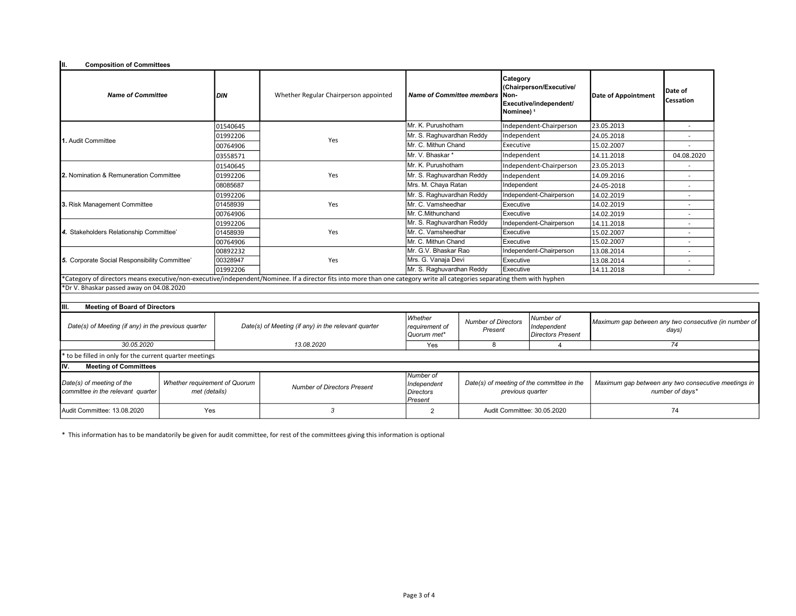| Iш.<br><b>Composition of Committees</b>                                                                          |     |                                              |                                                                                                                                                                           |                                                         |                                                                |                                                                                                 |                                                      |                                                                        |                      |  |
|------------------------------------------------------------------------------------------------------------------|-----|----------------------------------------------|---------------------------------------------------------------------------------------------------------------------------------------------------------------------------|---------------------------------------------------------|----------------------------------------------------------------|-------------------------------------------------------------------------------------------------|------------------------------------------------------|------------------------------------------------------------------------|----------------------|--|
| <b>Name of Committee</b>                                                                                         |     | Whether Regular Chairperson appointed<br>DIN |                                                                                                                                                                           | Name of Committee members                               |                                                                | Category<br>(Chairperson/Executive/<br>INon-<br>Executive/independent/<br>Nominee) <sup>s</sup> |                                                      | Date of Appointment                                                    | Date of<br>Cessation |  |
|                                                                                                                  |     | 01540645                                     |                                                                                                                                                                           | Mr. K. Purushotham                                      |                                                                | Independent-Chairperson                                                                         |                                                      | 23.05.2013                                                             |                      |  |
|                                                                                                                  |     | 01992206                                     |                                                                                                                                                                           |                                                         | Mr. S. Raghuvardhan Reddy                                      |                                                                                                 | Independent                                          | 24.05.2018                                                             |                      |  |
| 1. Audit Committee                                                                                               |     | 00764906                                     | Yes                                                                                                                                                                       | Mr. C. Mithun Chand                                     |                                                                | Executive                                                                                       |                                                      | 15.02.2007                                                             |                      |  |
|                                                                                                                  |     | 03558571                                     |                                                                                                                                                                           | Mr. V. Bhaskar *                                        |                                                                | Independent                                                                                     |                                                      | 14.11.2018                                                             | 04.08.2020           |  |
|                                                                                                                  |     | 01540645                                     |                                                                                                                                                                           | Mr. K. Purushotham                                      |                                                                | Independent-Chairperson                                                                         |                                                      | 23.05.2013                                                             |                      |  |
| <b>12.</b> Nomination & Remuneration Committee                                                                   |     | 01992206                                     | Yes                                                                                                                                                                       | Mr. S. Raghuvardhan Reddy                               |                                                                | Independent                                                                                     |                                                      | 14.09.2016                                                             |                      |  |
|                                                                                                                  |     | 08085687                                     |                                                                                                                                                                           | Mrs. M. Chaya Ratan                                     |                                                                | Independent                                                                                     |                                                      | 24-05-2018                                                             |                      |  |
|                                                                                                                  |     | 01992206                                     |                                                                                                                                                                           | Mr. S. Raghuvardhan Reddy                               |                                                                |                                                                                                 | Independent-Chairperson                              | 14.02.2019                                                             |                      |  |
| 3. Risk Management Committee                                                                                     |     | 01458939                                     | Yes                                                                                                                                                                       | Mr. C. Vamsheedhar                                      | Executive                                                      |                                                                                                 |                                                      | 14.02.2019                                                             |                      |  |
|                                                                                                                  |     | 00764906                                     |                                                                                                                                                                           | Mr. C.Mithunchand                                       | Executive                                                      |                                                                                                 |                                                      | 14.02.2019                                                             | ۰                    |  |
| 4. Stakeholders Relationship Committee'                                                                          |     | 01992206                                     |                                                                                                                                                                           | Mr. S. Raghuvardhan Reddy                               |                                                                |                                                                                                 | Independent-Chairperson                              | 14.11.2018                                                             | ÷                    |  |
|                                                                                                                  |     | 01458939                                     | Yes                                                                                                                                                                       | Mr. C. Vamsheedhar                                      | Executive                                                      |                                                                                                 |                                                      | 15.02.2007                                                             | $\overline{a}$       |  |
|                                                                                                                  |     | 00764906                                     |                                                                                                                                                                           | Mr. C. Mithun Chand                                     |                                                                | Executive                                                                                       |                                                      | 15.02.2007                                                             |                      |  |
| 5. Corporate Social Responsibility Committee'                                                                    |     | 00892232                                     |                                                                                                                                                                           | Mr. G.V. Bhaskar Rao                                    |                                                                |                                                                                                 | Independent-Chairperson                              | 13.08.2014                                                             |                      |  |
|                                                                                                                  |     | 00328947                                     | Yes                                                                                                                                                                       |                                                         | Mrs. G. Vanaja Devi<br>Executive                               |                                                                                                 |                                                      | 13.08.2014                                                             |                      |  |
|                                                                                                                  |     | 01992206                                     |                                                                                                                                                                           |                                                         | Mr. S. Raghuvardhan Reddy<br>Executive                         |                                                                                                 |                                                      | 14.11.2018                                                             | $\overline{a}$       |  |
|                                                                                                                  |     |                                              | *Category of directors means executive/non-executive/independent/Nominee. If a director fits into more than one category write all categories separating them with hyphen |                                                         |                                                                |                                                                                                 |                                                      |                                                                        |                      |  |
| *Dr V. Bhaskar passed away on 04.08.2020                                                                         |     |                                              |                                                                                                                                                                           |                                                         |                                                                |                                                                                                 |                                                      |                                                                        |                      |  |
| <b>Meeting of Board of Directors</b><br>IIII.                                                                    |     |                                              |                                                                                                                                                                           |                                                         |                                                                |                                                                                                 |                                                      |                                                                        |                      |  |
| Date(s) of Meeting (if any) in the previous quarter                                                              |     |                                              | Whether<br>Date(s) of Meeting (if any) in the relevant quarter<br>reauirement of<br>Quorum met*                                                                           |                                                         | Number of Directors<br>Present                                 |                                                                                                 | Number of<br>Independent<br><b>Directors Present</b> | Maximum gap between any two consecutive (in number of<br>days)         |                      |  |
| 30.05.2020                                                                                                       |     |                                              | 13.08.2020                                                                                                                                                                | Yes                                                     | 8                                                              |                                                                                                 | $\overline{4}$                                       | 74                                                                     |                      |  |
| to be filled in only for the current quarter meetings                                                            |     |                                              |                                                                                                                                                                           |                                                         |                                                                |                                                                                                 |                                                      |                                                                        |                      |  |
| Iv.<br><b>Meeting of Committees</b>                                                                              |     |                                              |                                                                                                                                                                           |                                                         |                                                                |                                                                                                 |                                                      |                                                                        |                      |  |
| Date(s) of meeting of the<br>Whether requirement of Quorum<br>committee in the relevant quarter<br>met (details) |     |                                              | <b>Number of Directors Present</b>                                                                                                                                        | Number of<br>Independent<br>Directors<br><i>Present</i> | Date(s) of meeting of the committee in the<br>previous quarter |                                                                                                 |                                                      | Maximum gap between any two consecutive meetings in<br>number of days* |                      |  |
| Audit Committee: 13.08.2020                                                                                      | Yes |                                              | 3                                                                                                                                                                         | 2                                                       | Audit Committee: 30.05.2020                                    |                                                                                                 | 74                                                   |                                                                        |                      |  |

\* This information has to be mandatorily be given for audit committee, for rest of the committees giving this information is optional